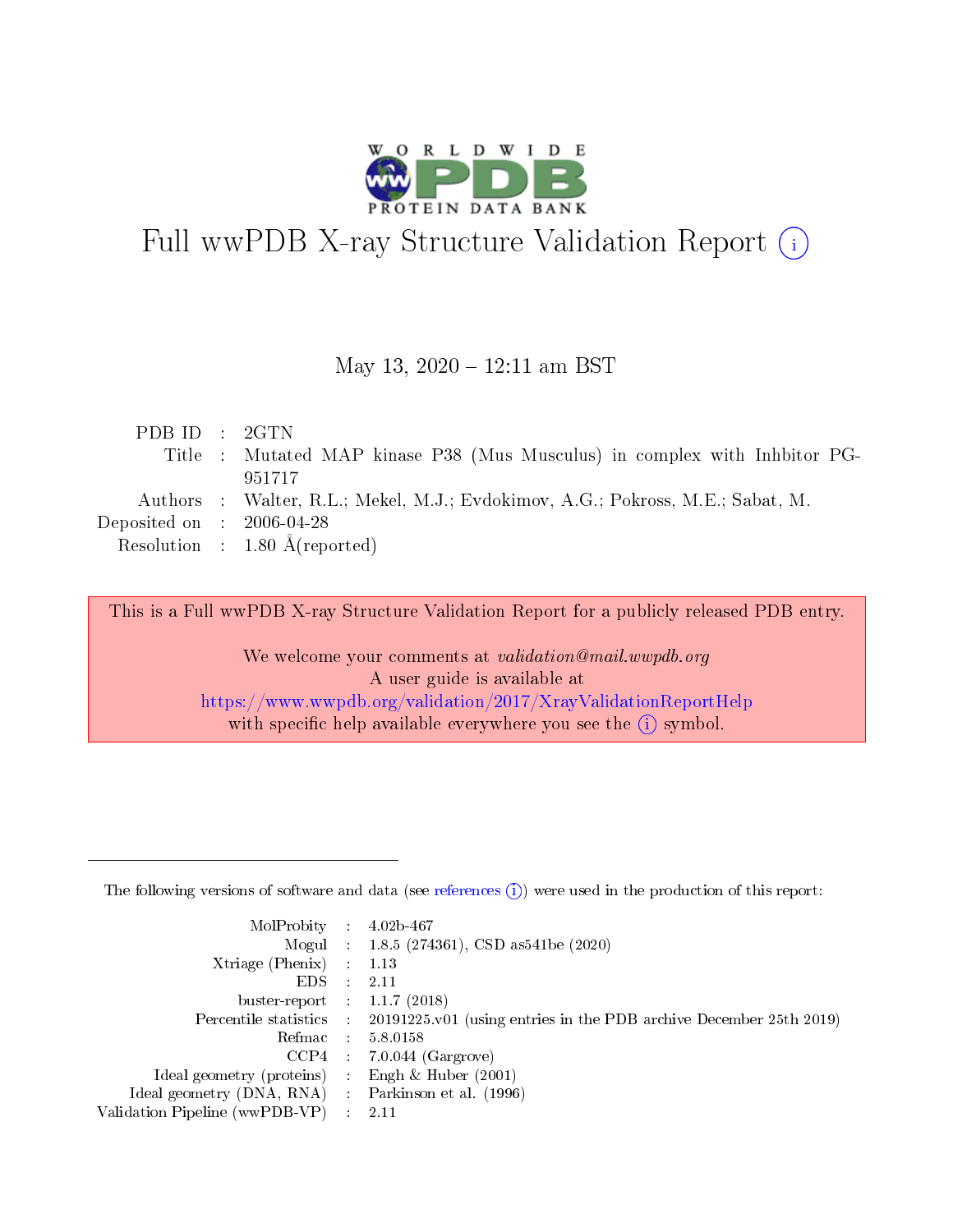

# Full wwPDB X-ray Structure Validation Report (i)

#### May 13, 2020 - 12:11 am BST

| PDBID : 2GTN                        |                                                                                |
|-------------------------------------|--------------------------------------------------------------------------------|
|                                     | Title : Mutated MAP kinase P38 (Mus Musculus) in complex with Inhbitor PG-     |
|                                     | 951717                                                                         |
|                                     | Authors : Walter, R.L.; Mekel, M.J.; Evdokimov, A.G.; Pokross, M.E.; Sabat, M. |
| Deposited on $\,$ : 2006-04-28 $\,$ |                                                                                |
|                                     | Resolution : $1.80 \text{ Å}$ (reported)                                       |
|                                     |                                                                                |

This is a Full wwPDB X-ray Structure Validation Report for a publicly released PDB entry.

We welcome your comments at validation@mail.wwpdb.org A user guide is available at <https://www.wwpdb.org/validation/2017/XrayValidationReportHelp> with specific help available everywhere you see the  $(i)$  symbol.

The following versions of software and data (see [references](https://www.wwpdb.org/validation/2017/XrayValidationReportHelp#references)  $(1)$ ) were used in the production of this report:

| MolProbity                     | $\mathcal{L}_{\rm{max}}$ | $4.02b - 467$                                                                |
|--------------------------------|--------------------------|------------------------------------------------------------------------------|
|                                |                          | Mogul : $1.8.5$ (274361), CSD as 541be (2020)                                |
| $X$ triage (Phenix) :          |                          | 1.13                                                                         |
| EDS.                           |                          | 2.11                                                                         |
| buster-report : $1.1.7$ (2018) |                          |                                                                              |
| Percentile statistics :        |                          | $20191225 \text{ v}01$ (using entries in the PDB archive December 25th 2019) |
| Refmac                         |                          | 5.8.0158                                                                     |
| $CCP4$ :                       |                          | $7.0.044$ (Gargrove)                                                         |
| Ideal geometry (proteins) :    |                          | Engh $\&$ Huber (2001)                                                       |
| Ideal geometry (DNA, RNA) :    |                          | Parkinson et al. (1996)                                                      |
| Validation Pipeline (wwPDB-VP) | $\mathcal{L}$            | -2.11                                                                        |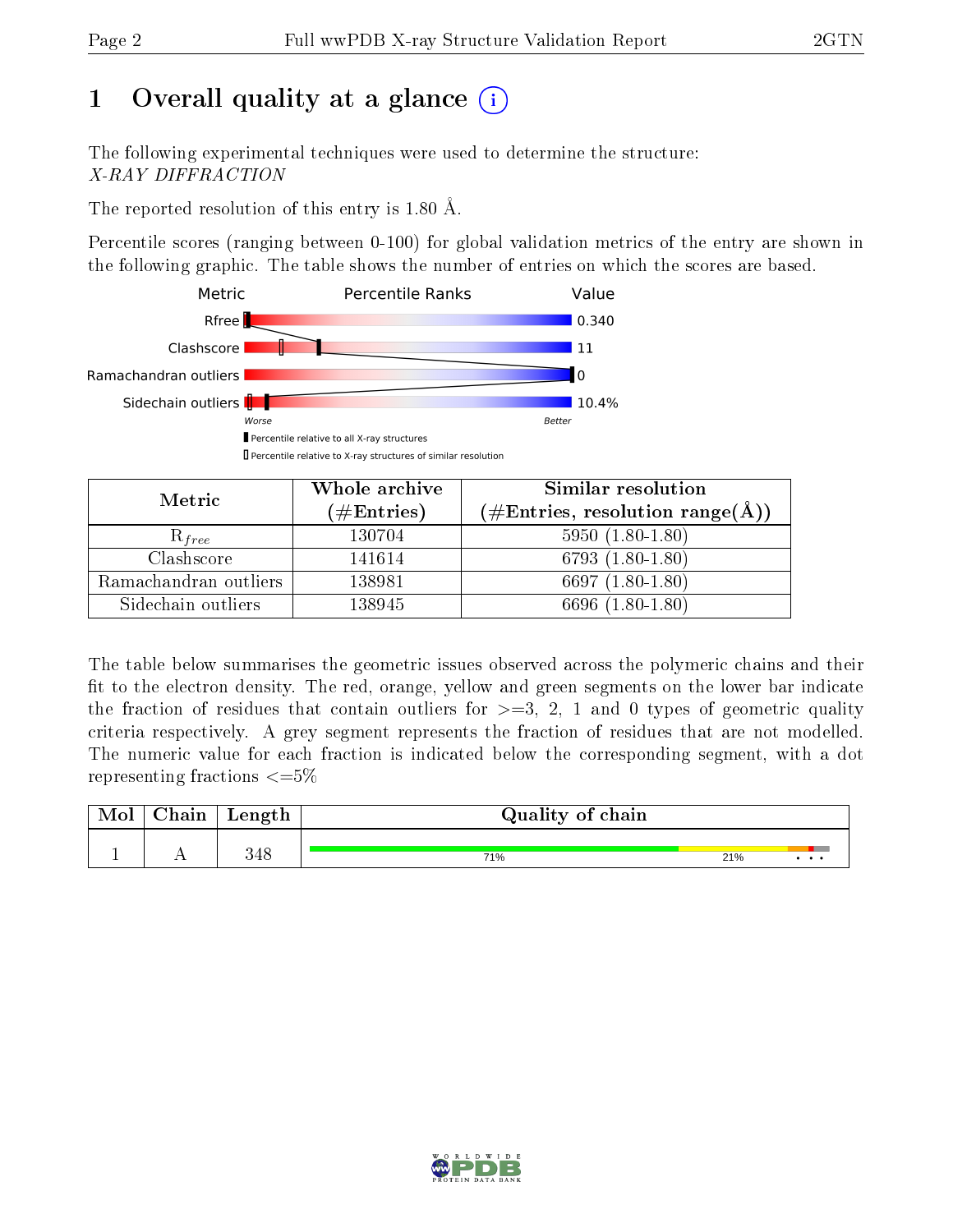# 1 [O](https://www.wwpdb.org/validation/2017/XrayValidationReportHelp#overall_quality)verall quality at a glance  $(i)$

The following experimental techniques were used to determine the structure: X-RAY DIFFRACTION

The reported resolution of this entry is 1.80 Å.

Percentile scores (ranging between 0-100) for global validation metrics of the entry are shown in the following graphic. The table shows the number of entries on which the scores are based.



| Metric                | Whole archive<br>$(\#Entries)$ | Similar resolution<br>$(\#\text{Entries}, \, \text{resolution} \, \, \text{range}(\textup{\AA}))$ |
|-----------------------|--------------------------------|---------------------------------------------------------------------------------------------------|
| $\mathcal{R}_{free}$  | 130704                         | $5950(1.80-1.80)$                                                                                 |
| Clashscore            | 141614                         | 6793 $(1.80-1.80)$                                                                                |
| Ramachandran outliers | 138981                         | 6697 $(1.80-1.80)$                                                                                |
| Sidechain outliers    | 138945                         | 6696 (1.80-1.80)                                                                                  |

The table below summarises the geometric issues observed across the polymeric chains and their fit to the electron density. The red, orange, yellow and green segments on the lower bar indicate the fraction of residues that contain outliers for  $\geq=3$ , 2, 1 and 0 types of geometric quality criteria respectively. A grey segment represents the fraction of residues that are not modelled. The numeric value for each fraction is indicated below the corresponding segment, with a dot representing fractions  $\leq=5\%$ 

| Chain | Length | Quality of chain |     |   |  |  |  |
|-------|--------|------------------|-----|---|--|--|--|
|       | 348    | 71%              | 21% | . |  |  |  |

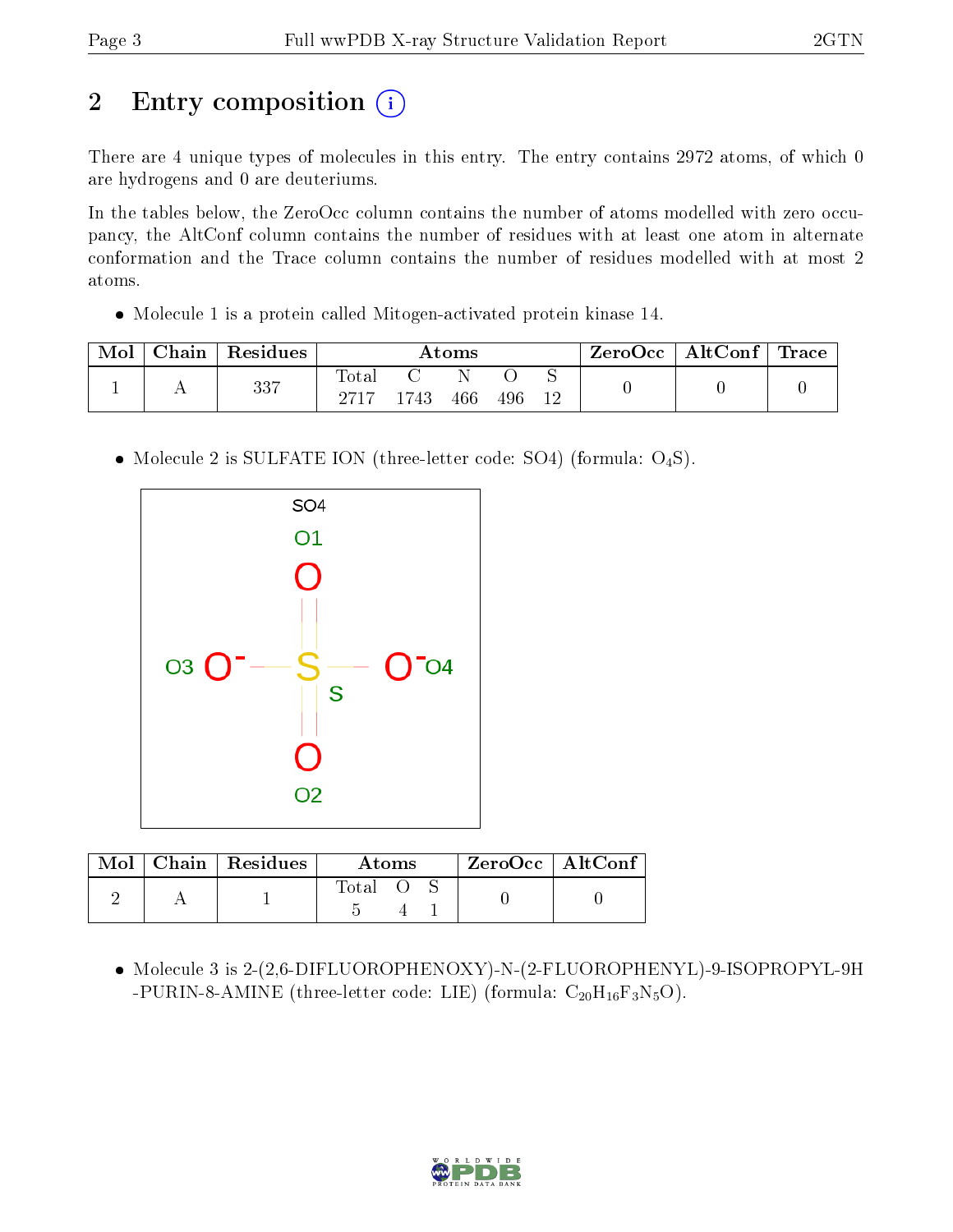# 2 Entry composition (i)

There are 4 unique types of molecules in this entry. The entry contains 2972 atoms, of which 0 are hydrogens and 0 are deuteriums.

In the tables below, the ZeroOcc column contains the number of atoms modelled with zero occupancy, the AltConf column contains the number of residues with at least one atom in alternate conformation and the Trace column contains the number of residues modelled with at most 2 atoms.

Molecule 1 is a protein called Mitogen-activated protein kinase 14.

| Mol | Chain   Residues | Atoms         |      |     |     | $\mid$ ZeroOcc $\mid$ AltConf $\mid$ Trace $\mid$ |  |  |
|-----|------------------|---------------|------|-----|-----|---------------------------------------------------|--|--|
|     | 337              | Total<br>9717 | 1743 | 466 | 496 | 12                                                |  |  |

• Molecule 2 is SULFATE ION (three-letter code: SO4) (formula: O<sub>4</sub>S).



| Mol | .   Chain   Residues | Atoms |  |  | $ZeroOcc$   AltConf |  |
|-----|----------------------|-------|--|--|---------------------|--|
|     |                      | Total |  |  |                     |  |

 Molecule 3 is 2-(2,6-DIFLUOROPHENOXY)-N-(2-FLUOROPHENYL)-9-ISOPROPYL-9H -PURIN-8-AMINE (three-letter code: LIE) (formula:  $C_{20}H_{16}F_3N_5O$ ).

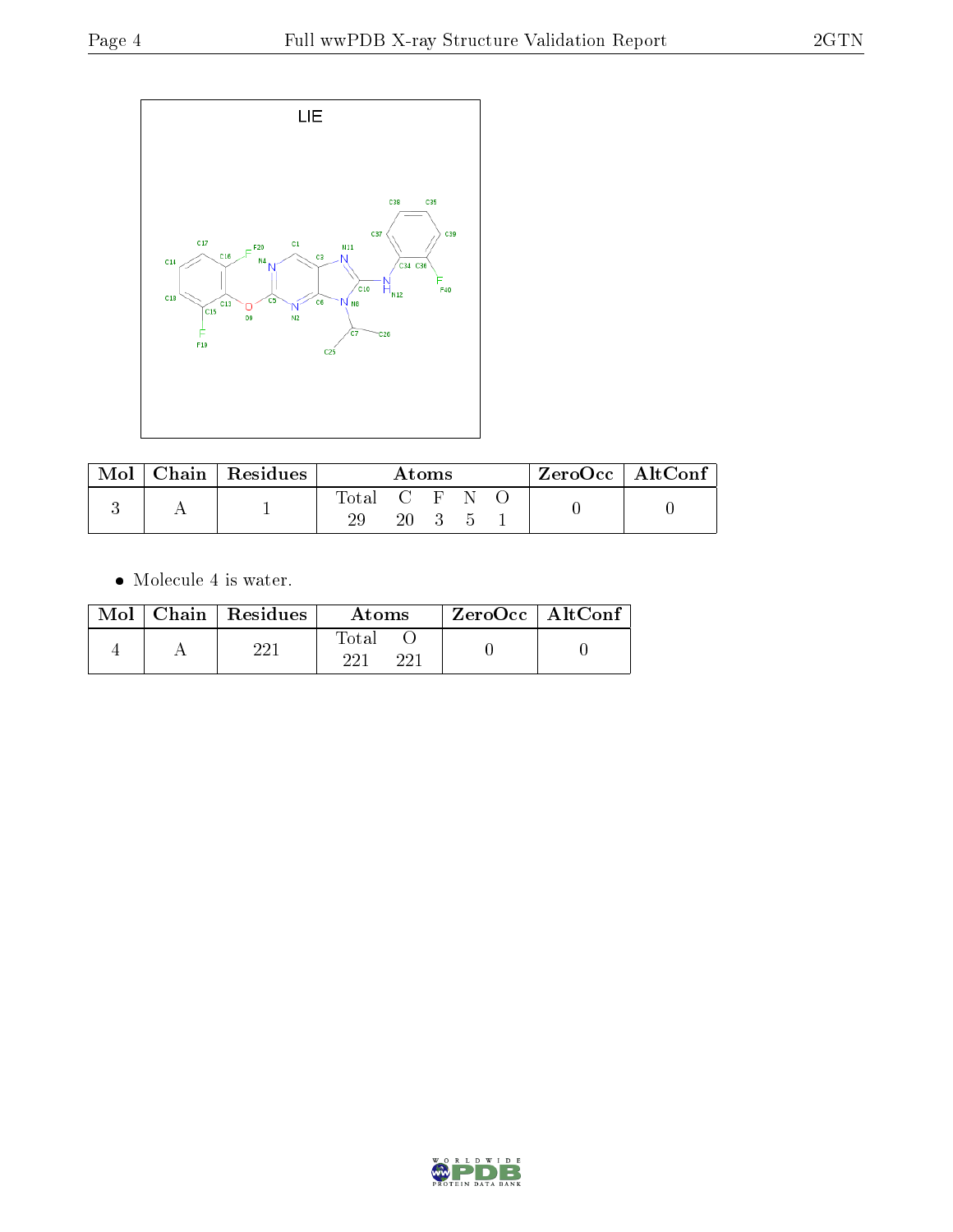

| Mol | Chain Residues | Atoms         |    |  |  | $ZeroOcc \mid AltConf \mid$ |  |
|-----|----------------|---------------|----|--|--|-----------------------------|--|
|     |                | Total C F N O |    |  |  |                             |  |
|     |                |               | 20 |  |  |                             |  |

 $\bullet\,$  Molecule 4 is water.

|  | $Mol$   Chain   Residues | Atoms               | ZeroOcc   AltConf |
|--|--------------------------|---------------------|-------------------|
|  | റവ                       | Fotal<br>ດດ1<br>วว1 |                   |

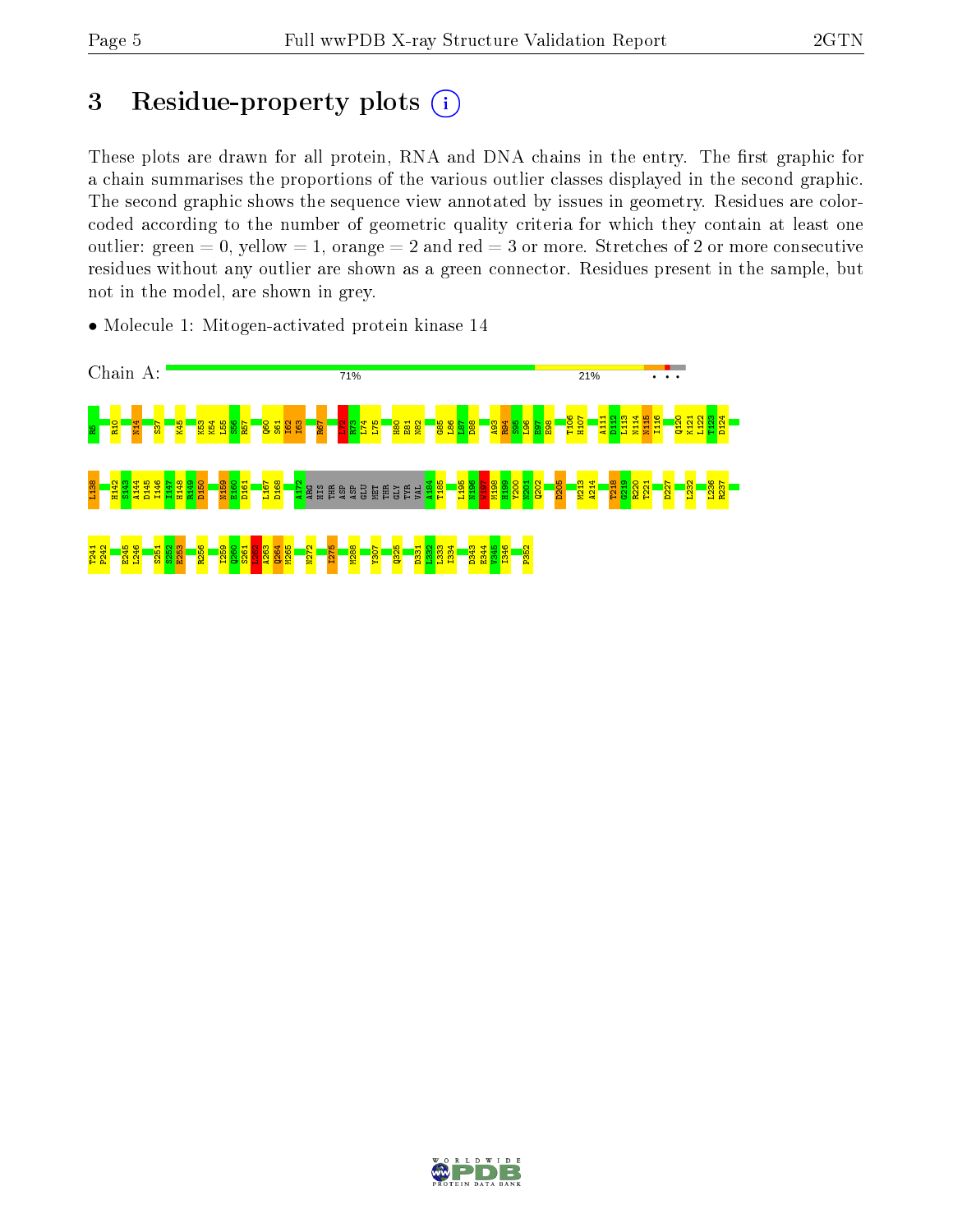# 3 Residue-property plots  $(i)$

These plots are drawn for all protein, RNA and DNA chains in the entry. The first graphic for a chain summarises the proportions of the various outlier classes displayed in the second graphic. The second graphic shows the sequence view annotated by issues in geometry. Residues are colorcoded according to the number of geometric quality criteria for which they contain at least one outlier: green  $= 0$ , yellow  $= 1$ , orange  $= 2$  and red  $= 3$  or more. Stretches of 2 or more consecutive residues without any outlier are shown as a green connector. Residues present in the sample, but not in the model, are shown in grey.

• Molecule 1: Mitogen-activated protein kinase 14



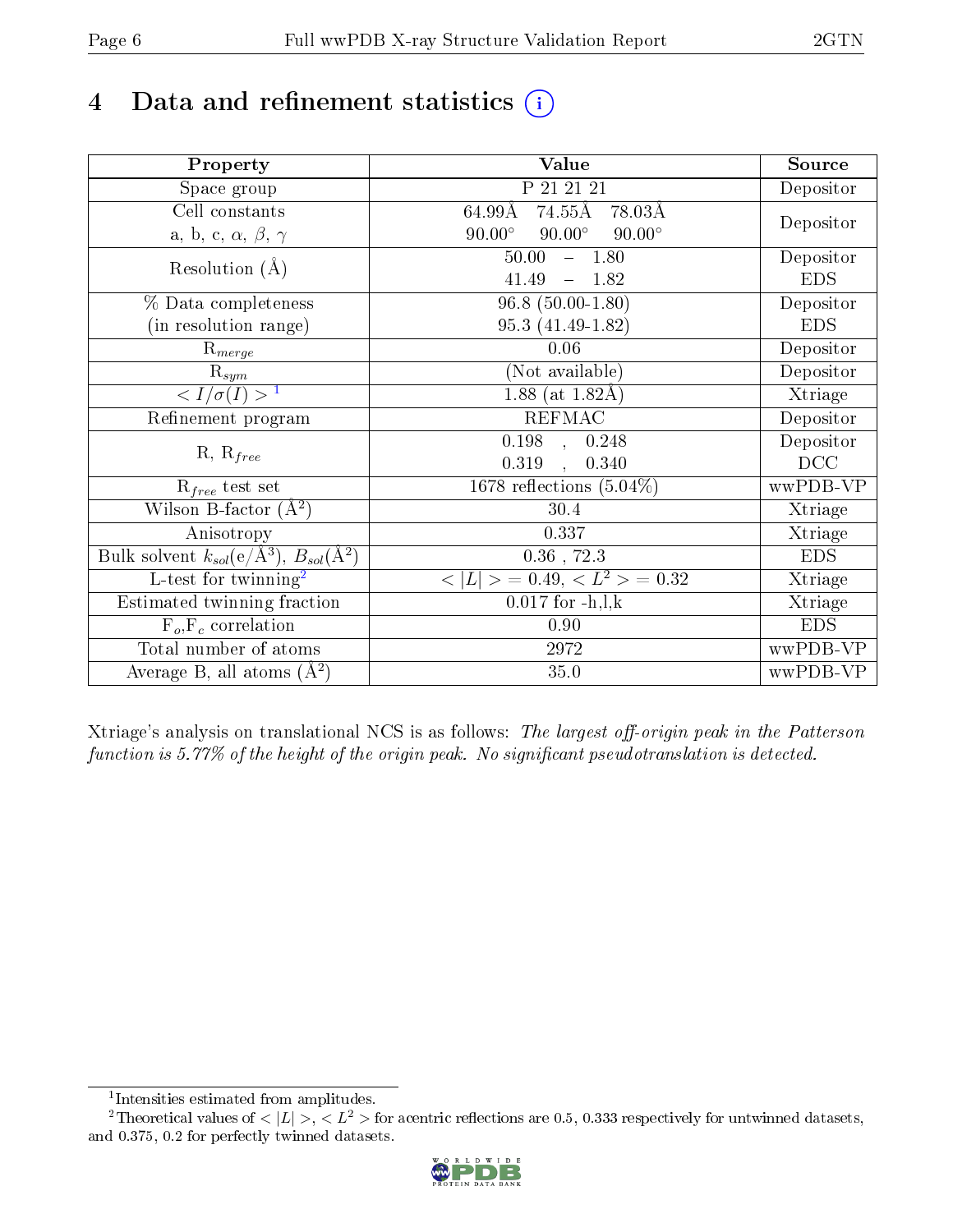# 4 Data and refinement statistics  $(i)$

| Property                                                             | Value                                           | Source     |
|----------------------------------------------------------------------|-------------------------------------------------|------------|
| Space group                                                          | P 21 21 21                                      | Depositor  |
| Cell constants                                                       | 74.55Å<br>78.03Å<br>64.99Å                      |            |
| a, b, c, $\alpha$ , $\beta$ , $\gamma$                               | $90.00^\circ$<br>$90.00^\circ$<br>$90.00^\circ$ | Depositor  |
| Resolution $(A)$                                                     | $-1.80$<br>50.00                                | Depositor  |
|                                                                      | 41.49<br>$-1.82$                                | <b>EDS</b> |
| % Data completeness                                                  | $96.8(50.00-1.80)$                              | Depositor  |
| (in resolution range)                                                | 95.3 (41.49-1.82)                               | <b>EDS</b> |
| $R_{merge}$                                                          | 0.06                                            | Depositor  |
| $\mathrm{R}_{sym}$                                                   | (Not available)                                 | Depositor  |
| $\langle I/\sigma(I) \rangle$ <sup>1</sup>                           | 1.88 (at $1.82\text{\AA}$ )                     | Xtriage    |
| Refinement program                                                   | <b>REFMAC</b>                                   | Depositor  |
|                                                                      | $\overline{0.198}$ ,<br>0.248                   | Depositor  |
| $R, R_{free}$                                                        | 0.319<br>0.340<br>$\mathcal{L}$                 | DCC        |
| $R_{free}$ test set                                                  | 1678 reflections $(5.04\%)$                     | wwPDB-VP   |
| Wilson B-factor $(A^2)$                                              | 30.4                                            | Xtriage    |
| Anisotropy                                                           | 0.337                                           | Xtriage    |
| Bulk solvent $k_{sol}(e/\mathring{A}^3)$ , $B_{sol}(\mathring{A}^2)$ | $0.36\,$ , $72.3\,$                             | <b>EDS</b> |
| L-test for twinning <sup>2</sup>                                     | $< L >$ = 0.49, $< L2$ = 0.32                   | Xtriage    |
| Estimated twinning fraction                                          | $0.017$ for $-h, l, k$                          | Xtriage    |
| $F_o, F_c$ correlation                                               | 0.90                                            | <b>EDS</b> |
| Total number of atoms                                                | 2972                                            | wwPDB-VP   |
| Average B, all atoms $(A^2)$                                         | 35.0                                            | wwPDB-VP   |

Xtriage's analysis on translational NCS is as follows: The largest off-origin peak in the Patterson function is  $5.77\%$  of the height of the origin peak. No significant pseudotranslation is detected.

<sup>&</sup>lt;sup>2</sup>Theoretical values of  $\langle |L| \rangle$ ,  $\langle L^2 \rangle$  for acentric reflections are 0.5, 0.333 respectively for untwinned datasets, and 0.375, 0.2 for perfectly twinned datasets.



<span id="page-5-1"></span><span id="page-5-0"></span><sup>1</sup> Intensities estimated from amplitudes.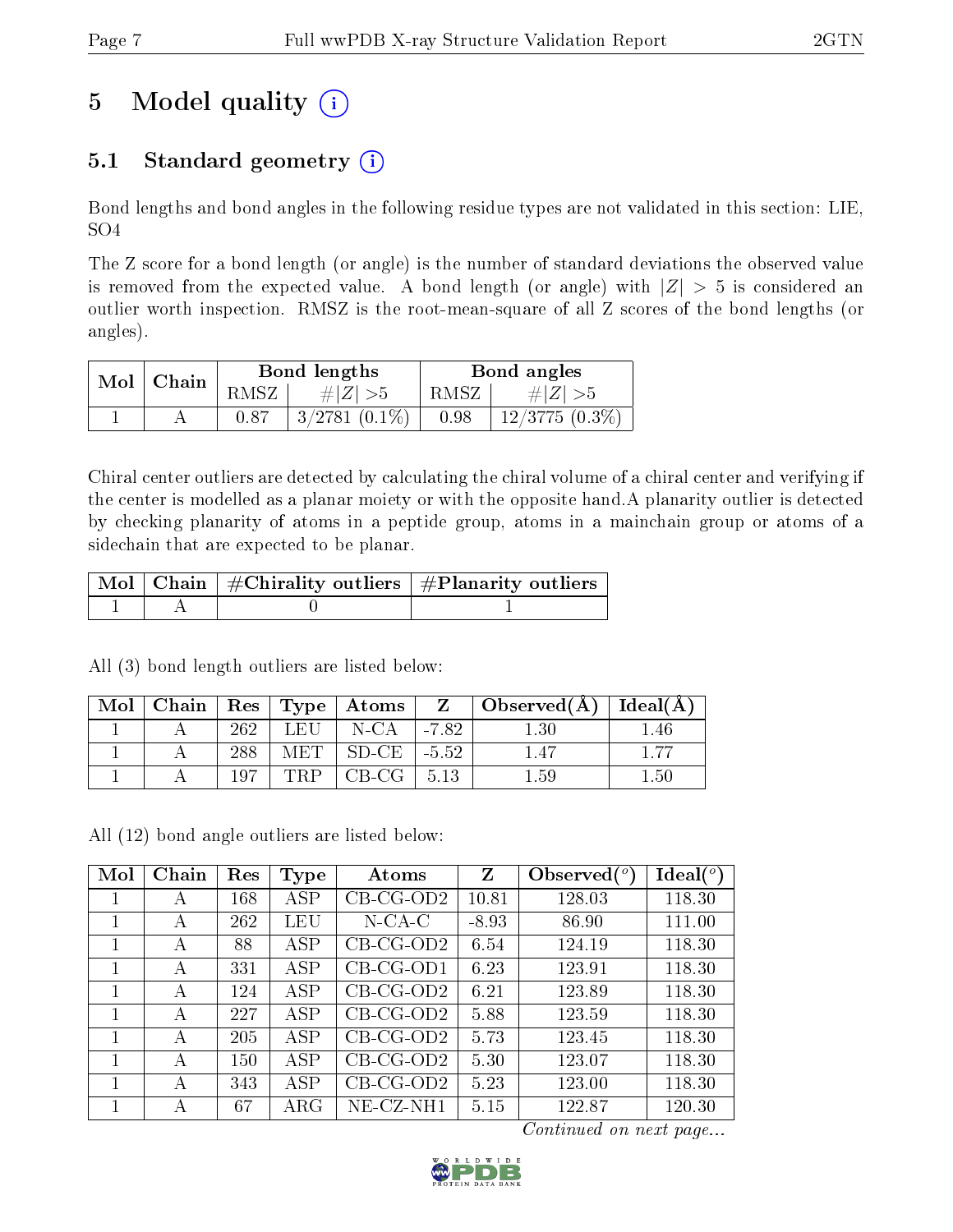# 5 Model quality  $(i)$

## 5.1 Standard geometry  $(i)$

Bond lengths and bond angles in the following residue types are not validated in this section: LIE, SO4

The Z score for a bond length (or angle) is the number of standard deviations the observed value is removed from the expected value. A bond length (or angle) with  $|Z| > 5$  is considered an outlier worth inspection. RMSZ is the root-mean-square of all Z scores of the bond lengths (or angles).

| $Mol \mid$ | Chain |        | Bond lengths       | Bond angles |                  |  |
|------------|-------|--------|--------------------|-------------|------------------|--|
|            |       | RMSZ . | $\# Z  > 5$        | RMSZ I      | # $ Z  > 5$      |  |
|            |       | 0.87   | $3/2781$ $(0.1\%)$ | 0.98        | $12/3775(0.3\%)$ |  |

Chiral center outliers are detected by calculating the chiral volume of a chiral center and verifying if the center is modelled as a planar moiety or with the opposite hand.A planarity outlier is detected by checking planarity of atoms in a peptide group, atoms in a mainchain group or atoms of a sidechain that are expected to be planar.

|  | $\mid$ Mol $\mid$ Chain $\mid$ #Chirality outliers $\mid$ #Planarity outliers $\mid$ |
|--|--------------------------------------------------------------------------------------|
|  |                                                                                      |

All (3) bond length outliers are listed below:

| Mol | Chain |     |       | $\mid$ Res $\mid$ Type $\mid$ Atoms $\mid$ |         | $\vert$ Observed(A) | Ideal(A)                       |
|-----|-------|-----|-------|--------------------------------------------|---------|---------------------|--------------------------------|
|     |       | 262 | LEH   | N-CA                                       | $-7.82$ | 1.30                | $\left\lfloor .46\right\rceil$ |
|     |       | 288 | MET . | SD-CE                                      | $-5.52$ |                     |                                |
|     |       | 107 |       | $CB-CG$                                    | $-5.13$ | l .59               | $1.50\,$                       |

All (12) bond angle outliers are listed below:

| Mol | Chain | Res | <b>Type</b> | Atoms       | $\mathbf{Z}$ | Observed $(°)$ | $Ideal(^o)$ |
|-----|-------|-----|-------------|-------------|--------------|----------------|-------------|
|     | А     | 168 | <b>ASP</b>  | $CB-CG-OD2$ | 10.81        | 128.03         | 118.30      |
|     | А     | 262 | LEU         | $N$ -CA-C   | $-8.93$      | 86.90          | 111.00      |
|     | А     | 88  | ASP         | $CB-CG-OD2$ | 6.54         | 124.19         | 118.30      |
|     | А     | 331 | <b>ASP</b>  | $CB-CG-OD1$ | 6.23         | 123.91         | 118.30      |
| 1   | А     | 124 | ASP         | $CB-CG-OD2$ | 6.21         | 123.89         | 118.30      |
|     | А     | 227 | ASP         | $CB-CG-OD2$ | 5.88         | 123.59         | 118.30      |
|     | А     | 205 | ASP         | $CB-CG-OD2$ | 5.73         | 123.45         | 118.30      |
| 1   | А     | 150 | <b>ASP</b>  | $CB-CG-OD2$ | 5.30         | 123.07         | 118.30      |
| 1   | А     | 343 | ASP         | $CB-CG-OD2$ | 5.23         | 123.00         | 118.30      |
|     | А     | 67  | ${\rm ARG}$ | NE-CZ-NH1   | 5.15         | 122.87         | 120.30      |

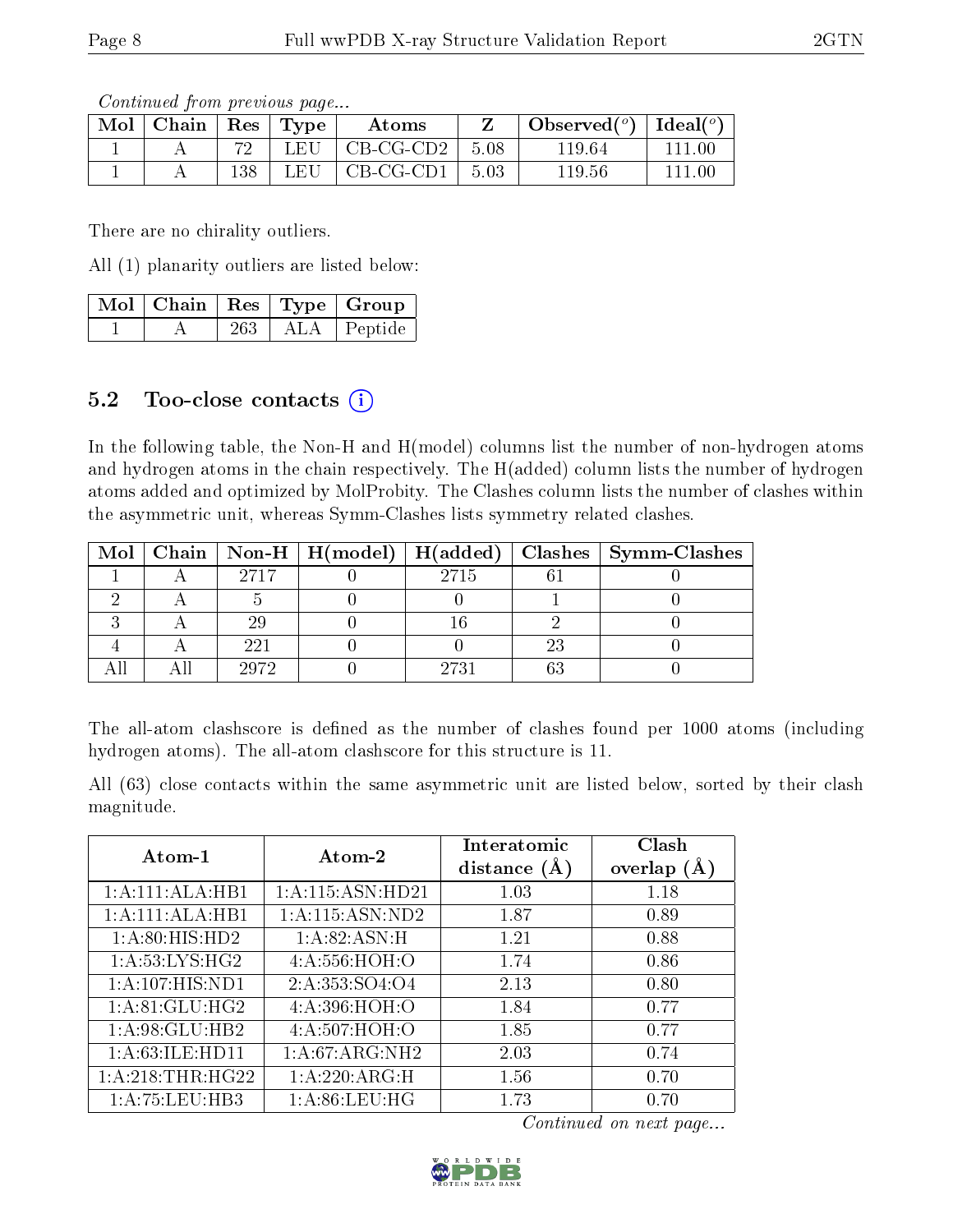Continued from previous page...

| Mol | Chain | Res | $\Gamma$ Type | Atoms     |      | Observed $(°)$ | Ideal $(°)$ |
|-----|-------|-----|---------------|-----------|------|----------------|-------------|
|     |       | 70  | $\Box$ F.H    | CB-CG-CD2 | 5.08 | 119.64         | 111.00      |
|     |       | 138 | L FI I        | CB-CG-CD1 | 5.03 | 119.56         |             |

There are no chirality outliers.

All (1) planarity outliers are listed below:

|  |     | $\mid$ Mol $\mid$ Chain $\mid$ Res $\mid$ Type $\mid$ Group |
|--|-----|-------------------------------------------------------------|
|  | 263 | ALA   Peptide                                               |

### $5.2$  Too-close contacts  $(i)$

In the following table, the Non-H and H(model) columns list the number of non-hydrogen atoms and hydrogen atoms in the chain respectively. The H(added) column lists the number of hydrogen atoms added and optimized by MolProbity. The Clashes column lists the number of clashes within the asymmetric unit, whereas Symm-Clashes lists symmetry related clashes.

|  |      | Mol   Chain   Non-H   H(model)   H(added) |      |    | Clashes   Symm-Clashes |
|--|------|-------------------------------------------|------|----|------------------------|
|  | 2717 |                                           | 2715 |    |                        |
|  |      |                                           |      |    |                        |
|  | 29   |                                           |      |    |                        |
|  | 221  |                                           |      | 23 |                        |
|  | 2972 |                                           | 2731 |    |                        |

The all-atom clashscore is defined as the number of clashes found per 1000 atoms (including hydrogen atoms). The all-atom clashscore for this structure is 11.

All (63) close contacts within the same asymmetric unit are listed below, sorted by their clash magnitude.

| Atom-1             | Atom-2               | Interatomic<br>distance $(A)$ | Clash<br>overlap $(A)$ |
|--------------------|----------------------|-------------------------------|------------------------|
| 1:A:111:ALA:HB1    | 1: A: 115: ASN: HD21 | 1.03                          | 1.18                   |
| 1:A:111:ALA:HB1    | 1: A: 115: ASN: ND2  | 1.87                          | 0.89                   |
| 1: A:80: HIS: HD2  | 1: A:82: ASN:H       | 1.21                          | 0.88                   |
| 1: A:53: LYS: HG2  | 4:A:556:HOH:O        | 1.74                          | 0.86                   |
| 1:A:107:HIS:ND1    | 2:A:353:SO4:O4       | 2.13                          | 0.80                   |
| 1: A:81: GLU: HG2  | 4:A:396:HOH:O        | 1.84                          | 0.77                   |
| 1: A:98: GLU:HB2   | 4:A:507:HOH:O        | 1.85                          | 0.77                   |
| 1: A:63: ILE: HD11 | 1:A:67:ARG:NH2       | 2.03                          | 0.74                   |
| 1: A:218:THR:HG22  | 1:A:220:ARG:H        | 1.56                          | 0.70                   |
| 1: A: 75: LEU: HB3 | 1: A:86: LEU: HG     | 1.73                          | 0.70                   |

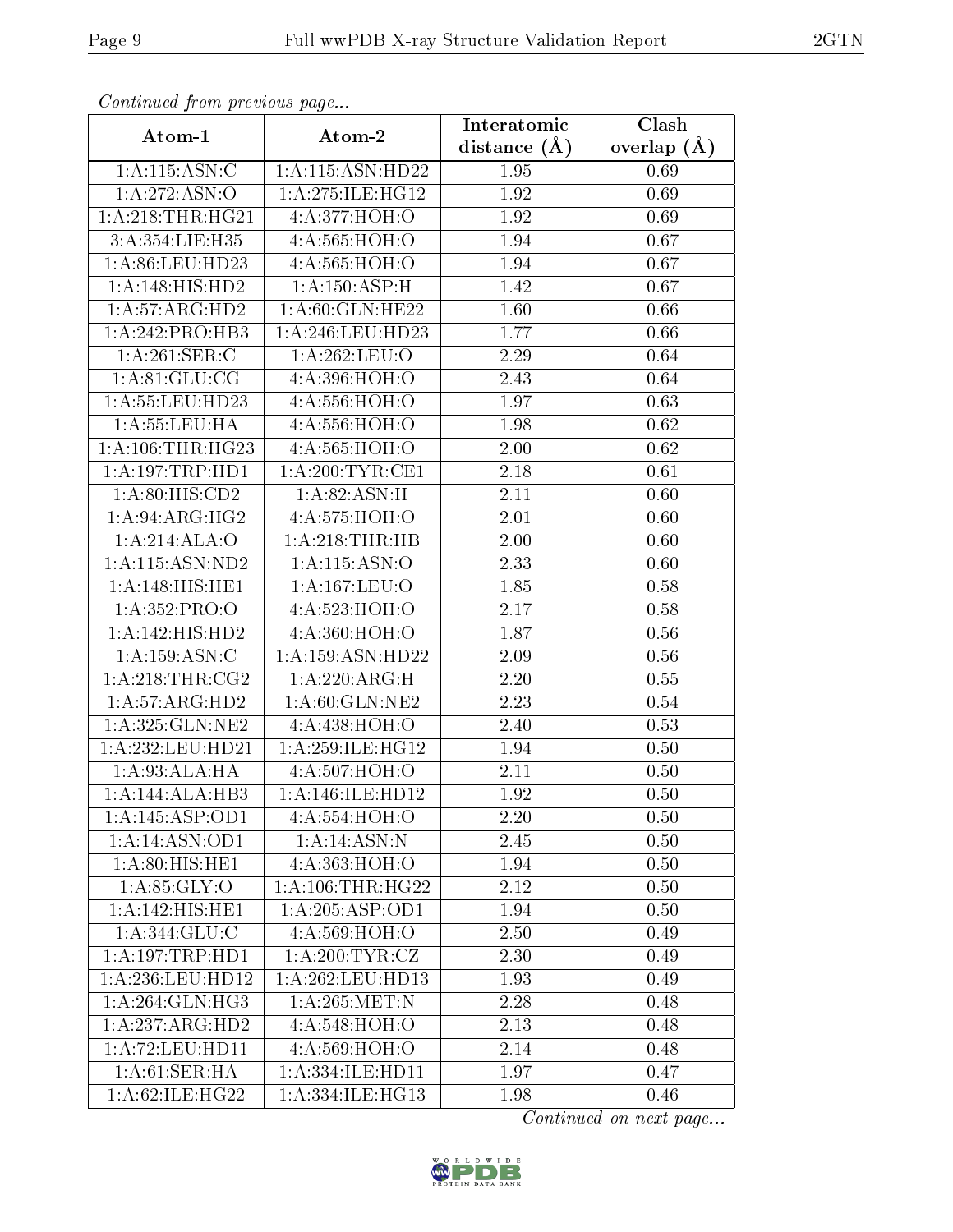| Communa from previous page    |                    | Interatomic       | Clash         |
|-------------------------------|--------------------|-------------------|---------------|
| Atom-1                        | Atom-2             | distance $(\AA)$  | overlap $(A)$ |
| 1: A:115: ASN: C              | 1:A:115:ASN:HD22   | 1.95              | 0.69          |
| 1: A:272: ASN:O               | 1:A:275:ILE:HG12   | $\overline{1.92}$ | 0.69          |
| 1: A:218:THR:HG21             | 4:A:377:HOH:O      | 1.92              | 0.69          |
| 3:A:354:LIE:H35               | 4:A:565:HOH:O      | 1.94              | 0.67          |
| 1: A:86: LEU:HD23             | 4:A:565:HOH:O      | 1.94              | 0.67          |
| 1: A:148: HIS: HD2            | 1:A:150:ASP:H      | 1.42              | 0.67          |
| 1:A:57:ARG:HD2                | 1: A:60: GLN: HE22 | 1.60              | 0.66          |
| 1:A:242:PRO:HB3               | 1: A:246:LEU:HD23  | 1.77              | 0.66          |
| 1:A:261:SER:C                 | 1:A:262:LEU:O      | 2.29              | 0.64          |
| 1: A:81: GLU:CG               | 4:A:396:HOH:O      | 2.43              | 0.64          |
| 1:A:55:LEU:HD23               | 4:A:556:HOH:O      | 1.97              | 0.63          |
| 1:A:55:LEU:HA                 | 4:A:556:HOH:O      | 1.98              | 0.62          |
| 1: A: 106: THR: HG23          | 4:A:565:HOH:O      | 2.00              | 0.62          |
| 1: A:197:TRP:HD1              | 1: A:200:TYR:CE1   | 2.18              | 0.61          |
| $1: A:80: \overline{HIS:CD2}$ | 1: A:82: ASN:H     | 2.11              | 0.60          |
| 1: A:94: ARG: HG2             | 4:A:575:HOH:O      | 2.01              | 0.60          |
| 1:A:214:ALA:O                 | 1:A:218:THR:HB     | 2.00              | 0.60          |
| 1:A:115:ASN:ND2               | $1:$ A:115:ASN:O   | 2.33              | 0.60          |
| 1:A:148:HIS:HE1               | 1:A:167:LEU:O      | 1.85              | 0.58          |
| 1: A: 352: PRO:O              | 4:A:523:HOH:O      | 2.17              | 0.58          |
| 1:A:142:HIS:HD2               | 4:A:360:HOH:O      | 1.87              | 0.56          |
| 1: A: 159: ASN: C             | 1:A:159:ASN:HD22   | $2.09\,$          | 0.56          |
| 1: A:218:THR:CG2              | 1:A:220:ARG:H      | 2.20              | 0.55          |
| 1: A:57: ARG:HD2              | 1: A:60: GLN: NE2  | 2.23              | 0.54          |
| 1: A:325: GLN: NE2            | 4:A:438:HOH:O      | 2.40              | 0.53          |
| 1:A:232:LEU:HD21              | 1:A:259:ILE:HG12   | 1.94              | 0.50          |
| 1: A:93:ALA:HA                | 4:A:507:HOH:O      | 2.11              | 0.50          |
| 1:A:144:ALA:HB3               | 1:A:146:ILE:HD12   | 1.92              | 0.50          |
| 1:A:145:ASP:OD1               | 4:A:554:HOH:O      | 2.20              | 0.50          |
| 1:A:14:ASN:OD1                | 1:A:14:ASN:N       | 2.45              | 0.50          |
| $1: A:80: \overline{HIS:HE1}$ | 4:A:363:HOH:O      | 1.94              | 0.50          |
| 1: A:85: GLY:O                | 1: A:106:THR:HG22  | 2.12              | 0.50          |
| 1:A:142:HIS:HE1               | 1: A:205:ASP:OD1   | 1.94              | 0.50          |
| 1: A:344: GLU:C               | 4:A:569:HOH:O      | 2.50              | 0.49          |
| 1:A:197:TRP:HD1               | 1: A:200:TYR:CZ    | 2.30              | 0.49          |
| 1:A:236:LEU:HD12              | 1:A:262:LEU:HD13   | 1.93              | 0.49          |
| 1: A:264: GLN: HG3            | 1: A:265:MET:N     | 2.28              | 0.48          |
| 1:A:237:ARG:HD2               | 4:A:548:HOH:O      | 2.13              | 0.48          |
| 1: A: 72: LEU: HD11           | 4:A:569:HOH:O      | 2.14              | 0.48          |
| 1: A:61:SER:HA                | 1:A:334:ILE:HD11   | 1.97              | 0.47          |
| 1:A:62:ILE:HG22               | 1:A:334:ILE:HG13   | 1.98              | 0.46          |

Continued from previous page.

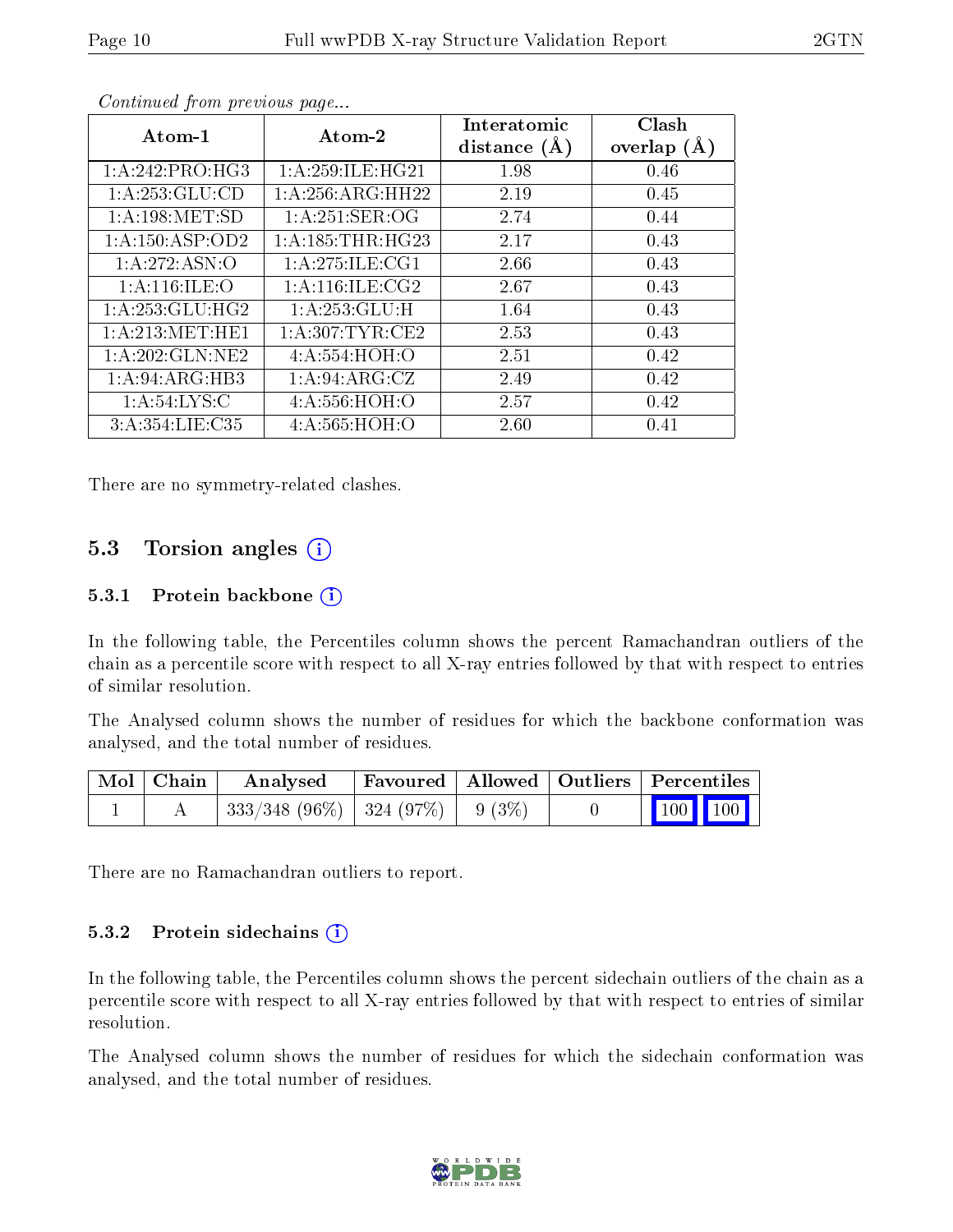| Atom-1              | Atom-2                     | Interatomic<br>distance $(A)$ | Clash<br>overlap $(A)$ |
|---------------------|----------------------------|-------------------------------|------------------------|
| 1: A:242:PRO:HG3    | 1: A:259: ILE: HG21        | 1.98                          | 0.46                   |
| 1:A:253:GLU:CD      | 1: A:256:ARG:HH22          | 2.19                          | 0.45                   |
| 1: A: 198: MET:SD   | 1:A:251:SER:OG             | 2.74                          | 0.44                   |
| 1: A: 150: ASP: OD2 | 1: A: 185: THR: HG23       | 2.17                          | 0.43                   |
| 1:A:272:ASN:O       | 1:A:275:ILE:CG1            | 2.66                          | 0.43                   |
| 1: A:116: ILE: O    | 1: A:116: ILE: CG2         | 2.67                          | 0.43                   |
| 1: A: 253: GLU: HG2 | $1:A:253:GLU:\overline{H}$ | 1.64                          | 0.43                   |
| 1: A:213: MET:HE1   | 1: A:307:TYR:CE2           | 2.53                          | 0.43                   |
| 1:A:202:GLN:NE2     | 4: A: 554: HOH: O          | 2.51                          | 0.42                   |
| 1:A:94:ARG:HB3      | 1: A:94: ARG: CZ           | 2.49                          | 0.42                   |
| 1: A:54:LYS:C       | 4: A: 556: HOH:O           | 2.57                          | 0.42                   |
| 3: A:354: LIE: C35  | 4:A:565:HOH:O              | 2.60                          | 0.41                   |

Continued from previous page...

There are no symmetry-related clashes.

#### 5.3 Torsion angles  $(i)$

#### 5.3.1 Protein backbone  $(i)$

In the following table, the Percentiles column shows the percent Ramachandran outliers of the chain as a percentile score with respect to all X-ray entries followed by that with respect to entries of similar resolution.

The Analysed column shows the number of residues for which the backbone conformation was analysed, and the total number of residues.

| Mol   Chain | Analysed                                |  | Favoured   Allowed   Outliers   Percentiles                  |
|-------------|-----------------------------------------|--|--------------------------------------------------------------|
|             | $333/348$ (96\%)   324 (97\%)   9 (3\%) |  | $\begin{array}{ c c c c c }\n\hline\n100 & 100\n\end{array}$ |

There are no Ramachandran outliers to report.

#### 5.3.2 Protein sidechains  $\left( \overline{\cdot} \right)$

In the following table, the Percentiles column shows the percent sidechain outliers of the chain as a percentile score with respect to all X-ray entries followed by that with respect to entries of similar resolution.

The Analysed column shows the number of residues for which the sidechain conformation was analysed, and the total number of residues.

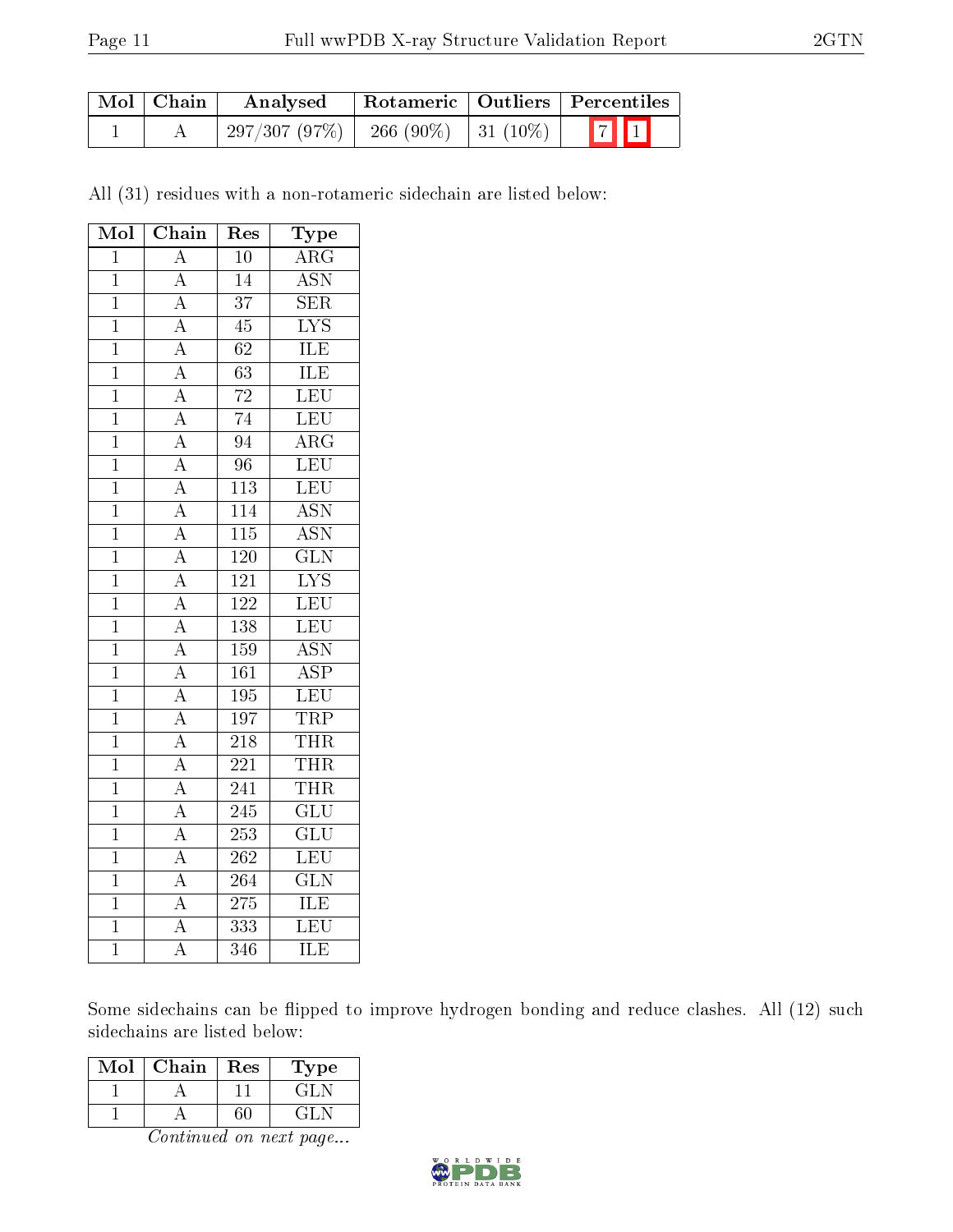| Mol   Chain | Analysed   Rotameric   Outliers   Percentiles |  |  |
|-------------|-----------------------------------------------|--|--|
|             | $297/307 (97\%)$ 266 (90\%) 31 (10\%) 7 1     |  |  |

All (31) residues with a non-rotameric sidechain are listed below:

| Mol            | $\overline{\text{Chain}}$           | Res              | ${\rm \bar{Type}}$        |
|----------------|-------------------------------------|------------------|---------------------------|
| $\mathbf{1}$   | $\overline{A}$                      | $\overline{10}$  | $\overline{\rm ARG}$      |
| $\mathbf{1}$   | $\overline{A}$                      | 14               | $\overline{\mathrm{ASN}}$ |
| $\overline{1}$ | $\overline{A}$                      | $\overline{37}$  | $\overline{\text{SER}}$   |
| $\mathbf{1}$   |                                     | $\overline{45}$  | $\overline{\text{LYS}}$   |
| $\mathbf 1$    | $\frac{\overline{A}}{A}$            | $\overline{62}$  | <b>ILE</b>                |
| $\overline{1}$ | $\overline{A}$                      | $\overline{63}$  | <b>ILE</b>                |
| $\mathbf{1}$   | $\frac{\overline{A}}{A}$            | $\overline{72}$  | LEU                       |
| $\overline{1}$ |                                     | $\overline{74}$  | $\overline{\text{LEU}}$   |
| $\overline{1}$ | $\overline{A}$                      | $\overline{94}$  | $\overline{\rm ARG}$      |
| $\overline{1}$ | $\frac{\overline{A}}{\overline{A}}$ | $\overline{96}$  | LEU                       |
| $\overline{1}$ |                                     | 113              | LEU                       |
| $\overline{1}$ | $\overline{A}$                      | $\overline{114}$ | $\overline{\text{ASN}}$   |
| $\overline{1}$ | $\frac{\overline{A}}{A}$            | $\overline{115}$ | $\overline{\text{ASN}}$   |
| $\overline{1}$ |                                     | 120              | $\overline{\text{GLN}}$   |
| $\overline{1}$ | $\overline{A}$                      | $\overline{121}$ | $\overline{\text{LYS}}$   |
| $\overline{1}$ | $\frac{\overline{A}}{\overline{A}}$ | $\overline{122}$ | LEU                       |
| $\overline{1}$ |                                     | 138              | $\overline{\text{LEU}}$   |
| $\overline{1}$ | $\overline{A}$                      | 159              | $\overline{\text{ASN}}$   |
| $\overline{1}$ | $\frac{\overline{A}}{A}$            | 161              | $\overline{\text{ASP}}$   |
| $\overline{1}$ |                                     | $\overline{195}$ | LEU                       |
| $\mathbf 1$    | $\frac{\overline{A}}{\overline{A}}$ | 197              | TRP                       |
| $\overline{1}$ |                                     | $\overline{218}$ | <b>THR</b>                |
| $\overline{1}$ |                                     | $\overline{221}$ | <b>THR</b>                |
| $\mathbf 1$    | $\overline{A}$                      | $\overline{241}$ | <b>THR</b>                |
| $\overline{1}$ |                                     | $\overline{245}$ | $\overline{\text{GLU}}$   |
| $\overline{1}$ | $\frac{\overline{A}}{\overline{A}}$ | 253              | $\overline{\text{GLU}}$   |
| $\overline{1}$ |                                     | $\overline{262}$ | $\overline{\text{LEU}}$   |
| $\overline{1}$ | $\overline{A}$                      | 264              | $\overline{\text{GLN}}$   |
| $\mathbf{1}$   | $\overline{A}$                      | $\overline{275}$ | <b>ILE</b>                |
| $\overline{1}$ | $\overline{\rm A}$                  | 333              | $\overline{\text{LEU}}$   |
| $\overline{1}$ | $\overline{\rm A}$                  | $\overline{3}46$ | $\overline{\text{ILE}}$   |

Some sidechains can be flipped to improve hydrogen bonding and reduce clashes. All (12) such sidechains are listed below:

| Mol | Chain | Res | l'ype |
|-----|-------|-----|-------|
|     |       |     | GHT.  |
|     |       |     | GHT.  |

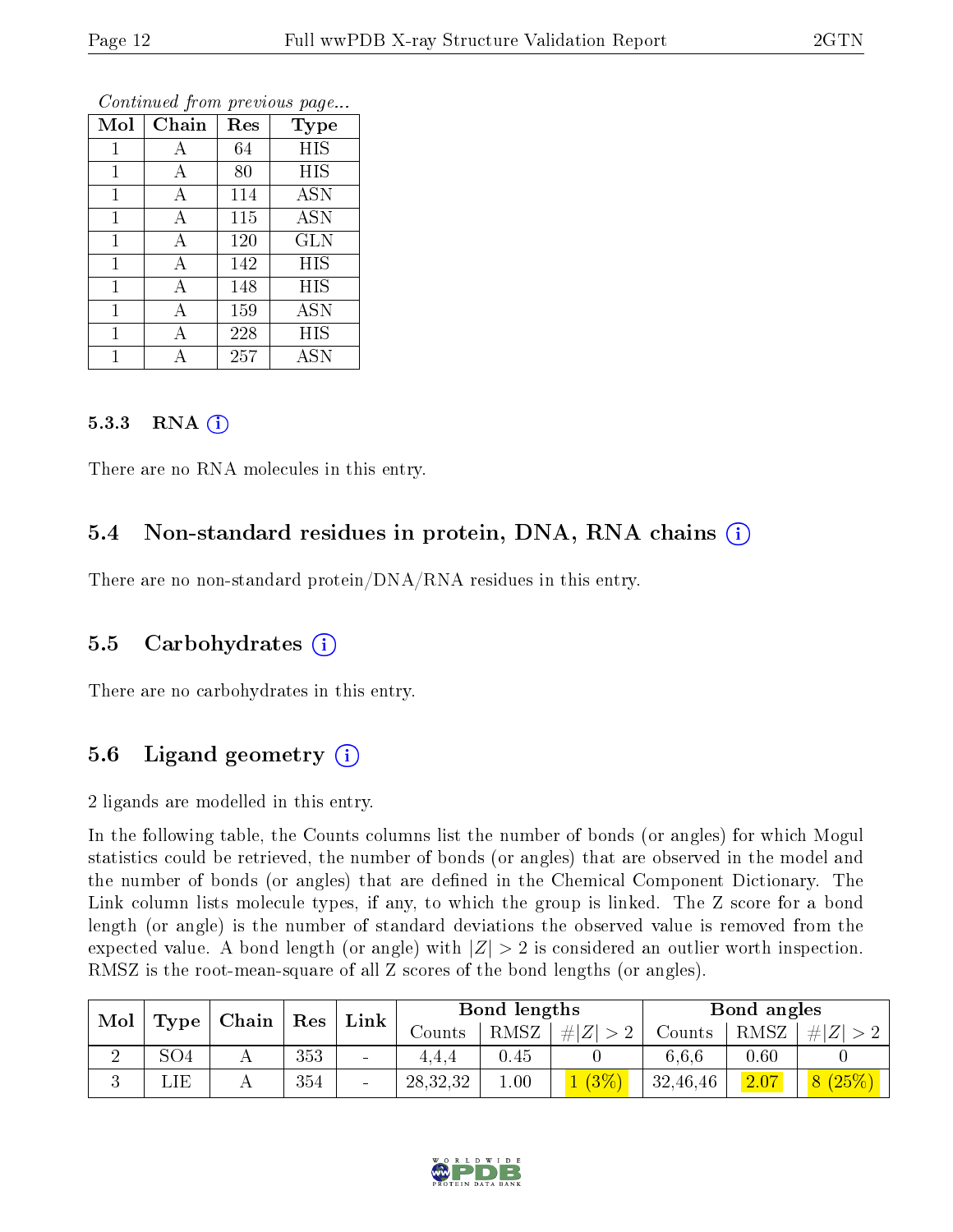| Mol          | Chain | Res | <b>Type</b> |
|--------------|-------|-----|-------------|
| 1            | А     | 64  | <b>HIS</b>  |
| $\mathbf 1$  | А     | 80  | HIS         |
| 1            | А     | 114 | <b>ASN</b>  |
| 1            | А     | 115 | <b>ASN</b>  |
| 1            | А     | 120 | <b>GLN</b>  |
| $\mathbf 1$  | А     | 142 | HIS         |
| $\mathbf{1}$ | А     | 148 | HIS         |
| 1            | А     | 159 | <b>ASN</b>  |
| 1            | А     | 228 | HIS         |
|              | А     | 257 | <b>ASN</b>  |

Continued from previous page...

#### 5.3.3 RNA  $(i)$

There are no RNA molecules in this entry.

#### 5.4 Non-standard residues in protein, DNA, RNA chains (i)

There are no non-standard protein/DNA/RNA residues in this entry.

#### 5.5 Carbohydrates (i)

There are no carbohydrates in this entry.

### 5.6 Ligand geometry  $(i)$

2 ligands are modelled in this entry.

In the following table, the Counts columns list the number of bonds (or angles) for which Mogul statistics could be retrieved, the number of bonds (or angles) that are observed in the model and the number of bonds (or angles) that are defined in the Chemical Component Dictionary. The Link column lists molecule types, if any, to which the group is linked. The Z score for a bond length (or angle) is the number of standard deviations the observed value is removed from the expected value. A bond length (or angle) with  $|Z| > 2$  is considered an outlier worth inspection. RMSZ is the root-mean-square of all Z scores of the bond lengths (or angles).

| Mol |                  | $\mid$ Chain $\mid$ Res |     | $\mid$ Link $\mid$ | Bond lengths |      |       | Bond angles |      |         |
|-----|------------------|-------------------------|-----|--------------------|--------------|------|-------|-------------|------|---------|
|     | Type             |                         |     |                    | Counts       | RMSZ | # Z   | Counts      | RMSZ | Z <br># |
| ↵   | SO4              |                         | 353 | $\sim$             | 4.4.4        | 0.45 |       | 6.6.6       | 0.60 |         |
|     | $\mathrm{LIE}$ . |                         | 354 |                    | 28,32,32     | 00.1 | 1(3%) | 32,46,46    | 2.07 | 8(25%)  |

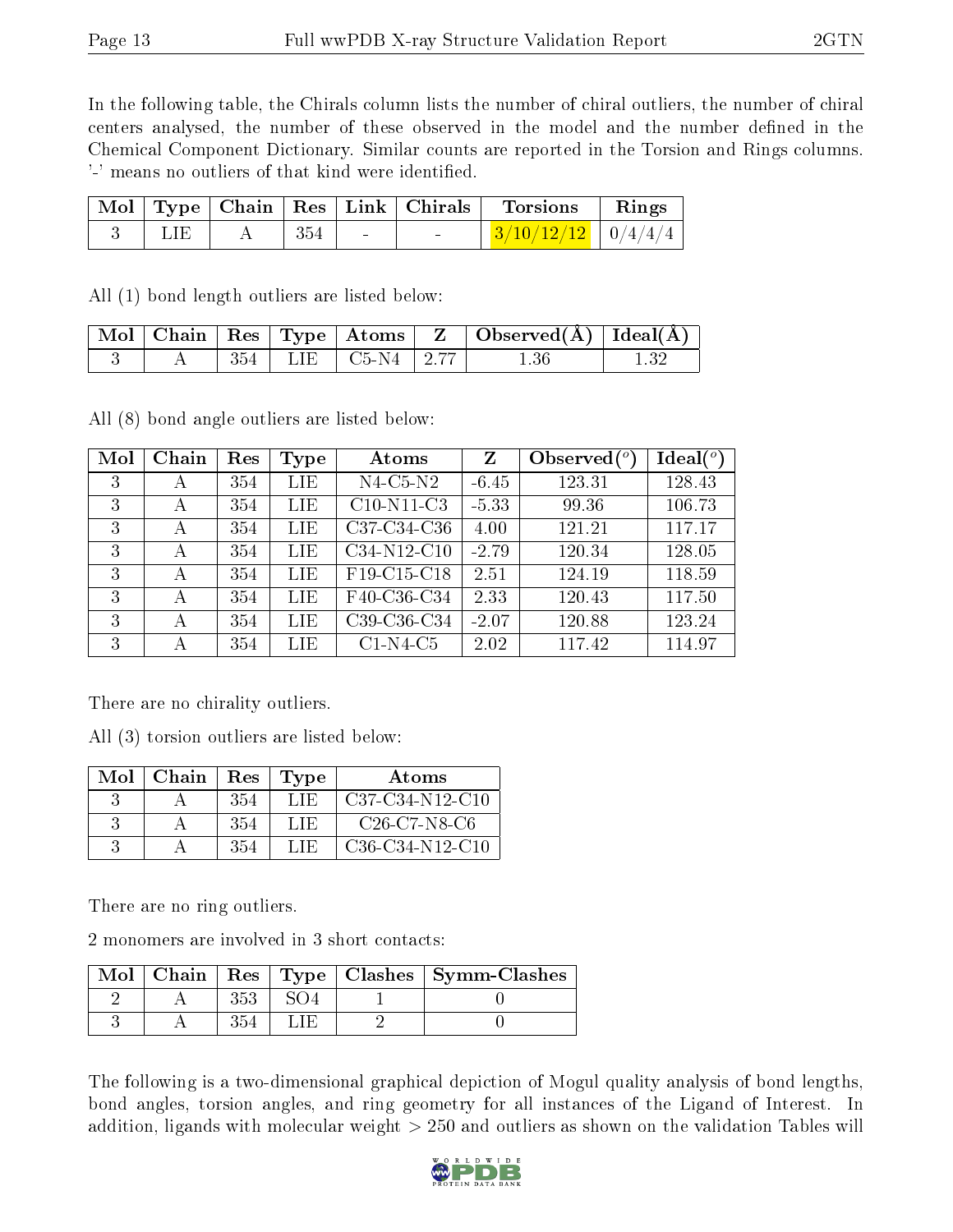In the following table, the Chirals column lists the number of chiral outliers, the number of chiral centers analysed, the number of these observed in the model and the number defined in the Chemical Component Dictionary. Similar counts are reported in the Torsion and Rings columns. '-' means no outliers of that kind were identified.

|  |     |        | $\mid$ Mol $\mid$ Type $\mid$ Chain $\mid$ Res $\mid$ Link $\mid$ Chirals $\mid$ Torsions | $\mathbf{Rings}$ |
|--|-----|--------|-------------------------------------------------------------------------------------------|------------------|
|  | 354 | $\sim$ | $3/10/12/12$   $0/4/4/4$                                                                  |                  |

All (1) bond length outliers are listed below:

|  |  |                            | Mol   Chain   Res   Type   Atoms   Z   Observed(A)   Ideal(A) |  |
|--|--|----------------------------|---------------------------------------------------------------|--|
|  |  | $ 354 $ LIE $ C5-N4 2.77 $ | 1.36                                                          |  |

All (8) bond angle outliers are listed below:

| Mol | Chain | Res | Type       | Atoms                                             | $\mathbf{Z}$ | Observed $(°)$ | Ideal (°) |
|-----|-------|-----|------------|---------------------------------------------------|--------------|----------------|-----------|
| 3   | А     | 354 | LIE        | $N4$ -C5- $N2$                                    | $-6.45$      | 123.31         | 128.43    |
| 3   | А     | 354 | LIE        | $C10-N11-C3$                                      | $-5.33$      | 99.36          | 106.73    |
| 3   | А     | 354 | <b>LIE</b> | C37-C34-C36                                       | 4.00         | 121.21         | 117.17    |
| 3   | А     | 354 | LIE        | C34-N12-C10                                       | $-2.79$      | 120.34         | 128.05    |
| 3   | А     | 354 | LIE        | F <sub>19</sub> -C <sub>15</sub> -C <sub>18</sub> | 2.51         | 124.19         | 118.59    |
| 3   | А     | 354 | LIE        | F40-C36-C34                                       | 2.33         | 120.43         | 117.50    |
| 3   | А     | 354 | LIE        | C39-C36-C34                                       | $-2.07$      | 120.88         | 123.24    |
| 3   | А     | 354 | LIE        | $C1-N4-C5$                                        | 2.02         | 117.42         | 114.97    |

There are no chirality outliers.

All (3) torsion outliers are listed below:

| Mol | Chain | Res | Type | Atoms             |
|-----|-------|-----|------|-------------------|
|     |       | 354 | LIE  | $C37-C34-N12-C10$ |
|     |       | 354 | LIE  | $C26$ -C7-N8-C6   |
|     |       | 354 | LIE. | $C36-C34-N12-C10$ |

There are no ring outliers.

2 monomers are involved in 3 short contacts:

| $Mol$   Chain |  | Res   Type   Clashes   Symm-Clashes |
|---------------|--|-------------------------------------|
|               |  |                                     |
|               |  |                                     |

The following is a two-dimensional graphical depiction of Mogul quality analysis of bond lengths, bond angles, torsion angles, and ring geometry for all instances of the Ligand of Interest. In addition, ligands with molecular weight > 250 and outliers as shown on the validation Tables will

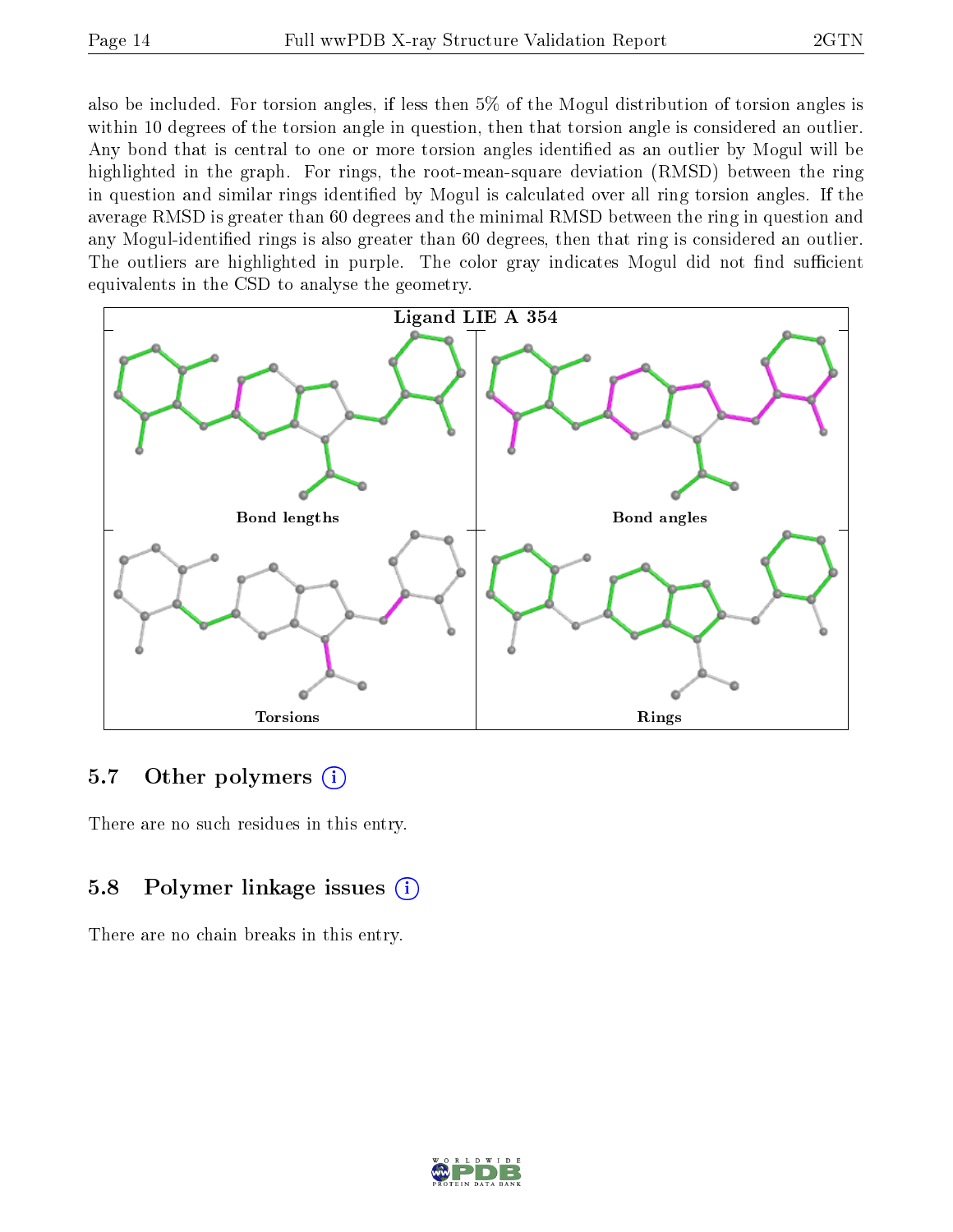also be included. For torsion angles, if less then 5% of the Mogul distribution of torsion angles is within 10 degrees of the torsion angle in question, then that torsion angle is considered an outlier. Any bond that is central to one or more torsion angles identified as an outlier by Mogul will be highlighted in the graph. For rings, the root-mean-square deviation (RMSD) between the ring in question and similar rings identified by Mogul is calculated over all ring torsion angles. If the average RMSD is greater than 60 degrees and the minimal RMSD between the ring in question and any Mogul-identified rings is also greater than 60 degrees, then that ring is considered an outlier. The outliers are highlighted in purple. The color gray indicates Mogul did not find sufficient equivalents in the CSD to analyse the geometry.



### 5.7 [O](https://www.wwpdb.org/validation/2017/XrayValidationReportHelp#nonstandard_residues_and_ligands)ther polymers  $(i)$

There are no such residues in this entry.

## 5.8 Polymer linkage issues (i)

There are no chain breaks in this entry.

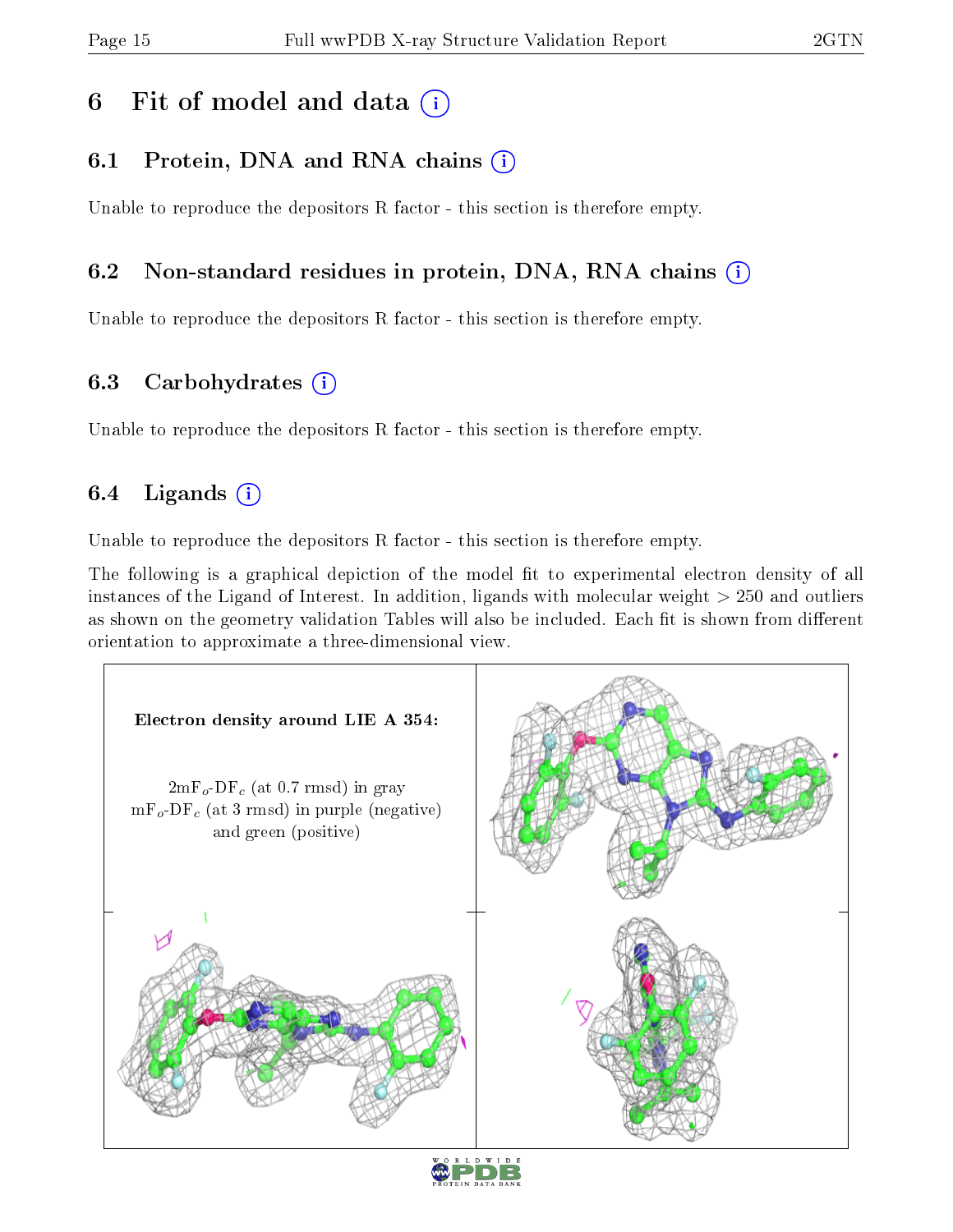## 6 Fit of model and data  $(i)$

## 6.1 Protein, DNA and RNA chains (i)

Unable to reproduce the depositors R factor - this section is therefore empty.

### 6.2 Non-standard residues in protein, DNA, RNA chains (i)

Unable to reproduce the depositors R factor - this section is therefore empty.

### 6.3 Carbohydrates (i)

Unable to reproduce the depositors R factor - this section is therefore empty.

## 6.4 Ligands  $(i)$

Unable to reproduce the depositors R factor - this section is therefore empty.

The following is a graphical depiction of the model fit to experimental electron density of all instances of the Ligand of Interest. In addition, ligands with molecular weight > 250 and outliers as shown on the geometry validation Tables will also be included. Each fit is shown from different orientation to approximate a three-dimensional view.